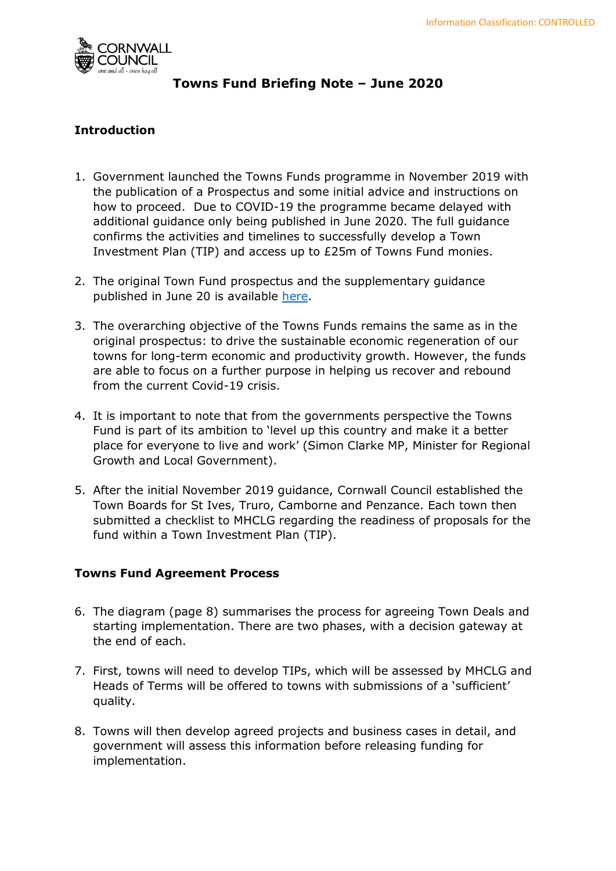

# **Towns Fund Briefing Note – June 2020**

# **Introduction**

- 1. Government launched the Towns Funds programme in November 2019 with the publication of a Prospectus and some initial advice and instructions on how to proceed. Due to COVID-19 the programme became delayed with additional guidance only being published in June 2020. The full guidance confirms the activities and timelines to successfully develop a Town Investment Plan (TIP) and access up to £25m of Towns Fund monies.
- 2. The original Town Fund prospectus and the supplementary guidance published in June 20 is available [here.](https://www.gov.uk/government/publications/towns-fund-prospectus)
- 3. The overarching objective of the Towns Funds remains the same as in the original prospectus: to drive the sustainable economic regeneration of our towns for long-term economic and productivity growth. However, the funds are able to focus on a further purpose in helping us recover and rebound from the current Covid-19 crisis.
- 4. It is important to note that from the governments perspective the Towns Fund is part of its ambition to 'level up this country and make it a better place for everyone to live and work' (Simon Clarke MP, Minister for Regional Growth and Local Government).
- 5. After the initial November 2019 guidance, Cornwall Council established the Town Boards for St Ives, Truro, Camborne and Penzance. Each town then submitted a checklist to MHCLG regarding the readiness of proposals for the fund within a Town Investment Plan (TIP).

## **Towns Fund Agreement Process**

- 6. The diagram (page 8) summarises the process for agreeing Town Deals and starting implementation. There are two phases, with a decision gateway at the end of each.
- 7. First, towns will need to develop TIPs, which will be assessed by MHCLG and Heads of Terms will be offered to towns with submissions of a 'sufficient' quality.
- 8. Towns will then develop agreed projects and business cases in detail, and government will assess this information before releasing funding for implementation.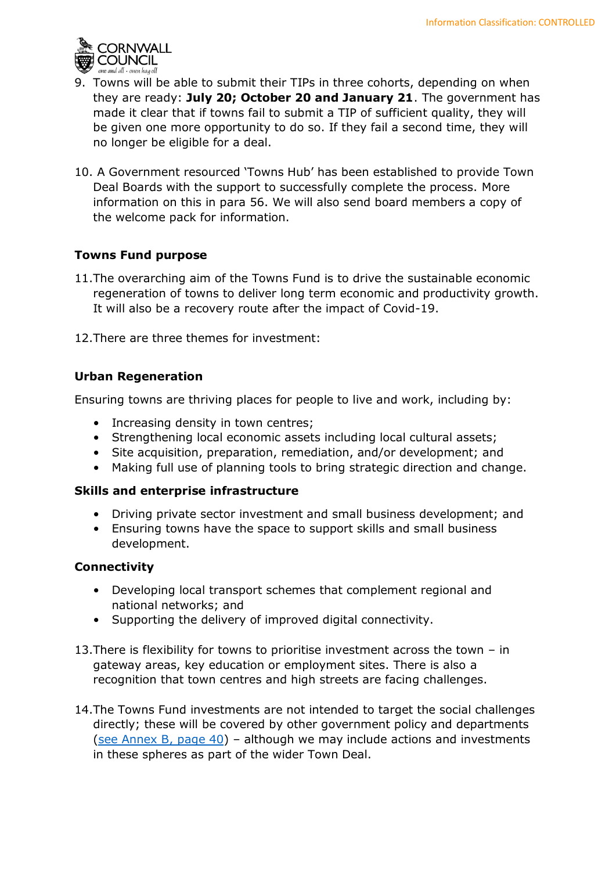

- 9. Towns will be able to submit their TIPs in three cohorts, depending on when they are ready: **July 20; October 20 and January 21**. The government has made it clear that if towns fail to submit a TIP of sufficient quality, they will be given one more opportunity to do so. If they fail a second time, they will no longer be eligible for a deal.
- 10. A Government resourced 'Towns Hub' has been established to provide Town Deal Boards with the support to successfully complete the process. More information on this in para 56. We will also send board members a copy of the welcome pack for information.

## **Towns Fund purpose**

- 11.The overarching aim of the Towns Fund is to drive the sustainable economic regeneration of towns to deliver long term economic and productivity growth. It will also be a recovery route after the impact of Covid-19.
- 12.There are three themes for investment:

### **Urban Regeneration**

Ensuring towns are thriving places for people to live and work, including by:

- Increasing density in town centres;
- Strengthening local economic assets including local cultural assets;
- Site acquisition, preparation, remediation, and/or development; and
- Making full use of planning tools to bring strategic direction and change.

### **Skills and enterprise infrastructure**

- Driving private sector investment and small business development; and
- Ensuring towns have the space to support skills and small business development.

### **Connectivity**

- Developing local transport schemes that complement regional and national networks; and
- Supporting the delivery of improved digital connectivity.
- 13.There is flexibility for towns to prioritise investment across the town in gateway areas, key education or employment sites. There is also a recognition that town centres and high streets are facing challenges.
- 14.The Towns Fund investments are not intended to target the social challenges directly; these will be covered by other government policy and departments [\(see Annex B, page 40\)](https://assets.publishing.service.gov.uk/government/uploads/system/uploads/attachment_data/file/892781/Towns_Fund_further_guidance_16_June_FINAL.pdf) – although we may include actions and investments in these spheres as part of the wider Town Deal.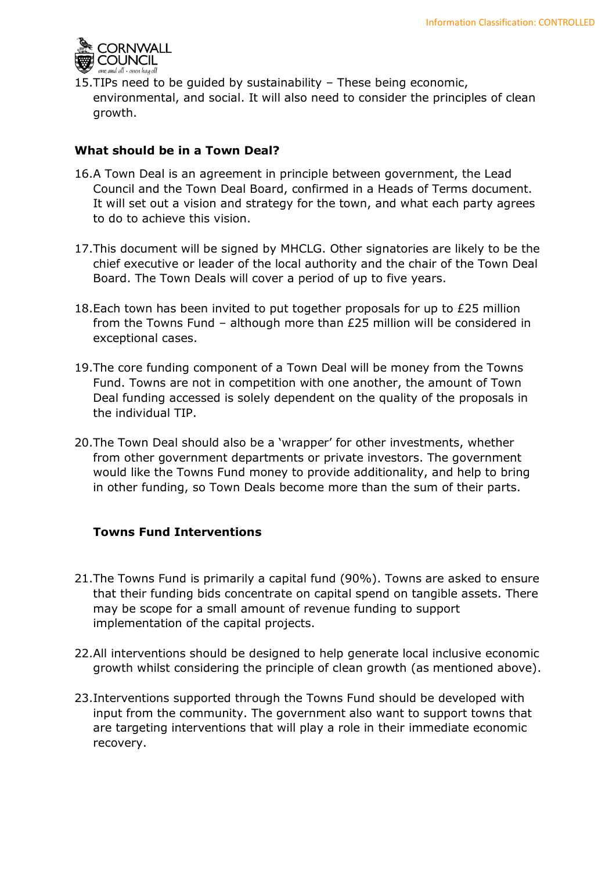

15.TIPs need to be guided by sustainability – These being economic, environmental, and social. It will also need to consider the principles of clean growth.

## **What should be in a Town Deal?**

- 16.A Town Deal is an agreement in principle between government, the Lead Council and the Town Deal Board, confirmed in a Heads of Terms document. It will set out a vision and strategy for the town, and what each party agrees to do to achieve this vision.
- 17.This document will be signed by MHCLG. Other signatories are likely to be the chief executive or leader of the local authority and the chair of the Town Deal Board. The Town Deals will cover a period of up to five years.
- 18.Each town has been invited to put together proposals for up to £25 million from the Towns Fund – although more than £25 million will be considered in exceptional cases.
- 19.The core funding component of a Town Deal will be money from the Towns Fund. Towns are not in competition with one another, the amount of Town Deal funding accessed is solely dependent on the quality of the proposals in the individual TIP.
- 20.The Town Deal should also be a 'wrapper' for other investments, whether from other government departments or private investors. The government would like the Towns Fund money to provide additionality, and help to bring in other funding, so Town Deals become more than the sum of their parts.

### **Towns Fund Interventions**

- 21.The Towns Fund is primarily a capital fund (90%). Towns are asked to ensure that their funding bids concentrate on capital spend on tangible assets. There may be scope for a small amount of revenue funding to support implementation of the capital projects.
- 22.All interventions should be designed to help generate local inclusive economic growth whilst considering the principle of clean growth (as mentioned above).
- 23.Interventions supported through the Towns Fund should be developed with input from the community. The government also want to support towns that are targeting interventions that will play a role in their immediate economic recovery.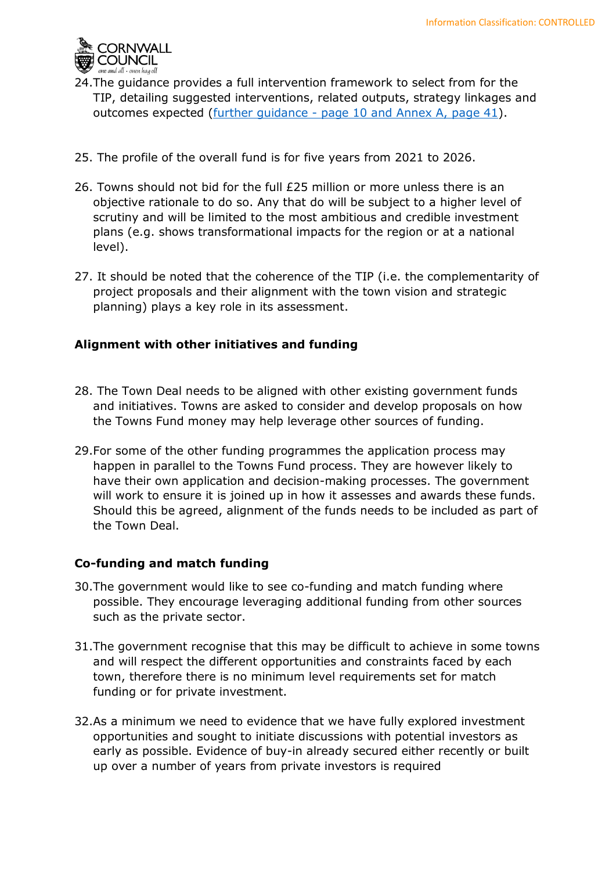

- 24.The guidance provides a full intervention framework to select from for the TIP, detailing suggested interventions, related outputs, strategy linkages and outcomes expected [\(further guidance -](https://assets.publishing.service.gov.uk/government/uploads/system/uploads/attachment_data/file/892781/Towns_Fund_further_guidance_16_June_FINAL.pdf) page 10 and Annex A, page 41).
- 25. The profile of the overall fund is for five years from 2021 to 2026.
- 26. Towns should not bid for the full £25 million or more unless there is an objective rationale to do so. Any that do will be subject to a higher level of scrutiny and will be limited to the most ambitious and credible investment plans (e.g. shows transformational impacts for the region or at a national level).
- 27. It should be noted that the coherence of the TIP (i.e. the complementarity of project proposals and their alignment with the town vision and strategic planning) plays a key role in its assessment.

## **Alignment with other initiatives and funding**

- 28. The Town Deal needs to be aligned with other existing government funds and initiatives. Towns are asked to consider and develop proposals on how the Towns Fund money may help leverage other sources of funding.
- 29.For some of the other funding programmes the application process may happen in parallel to the Towns Fund process. They are however likely to have their own application and decision-making processes. The government will work to ensure it is joined up in how it assesses and awards these funds. Should this be agreed, alignment of the funds needs to be included as part of the Town Deal.

## **Co-funding and match funding**

- 30.The government would like to see co-funding and match funding where possible. They encourage leveraging additional funding from other sources such as the private sector.
- 31.The government recognise that this may be difficult to achieve in some towns and will respect the different opportunities and constraints faced by each town, therefore there is no minimum level requirements set for match funding or for private investment.
- 32.As a minimum we need to evidence that we have fully explored investment opportunities and sought to initiate discussions with potential investors as early as possible. Evidence of buy-in already secured either recently or built up over a number of years from private investors is required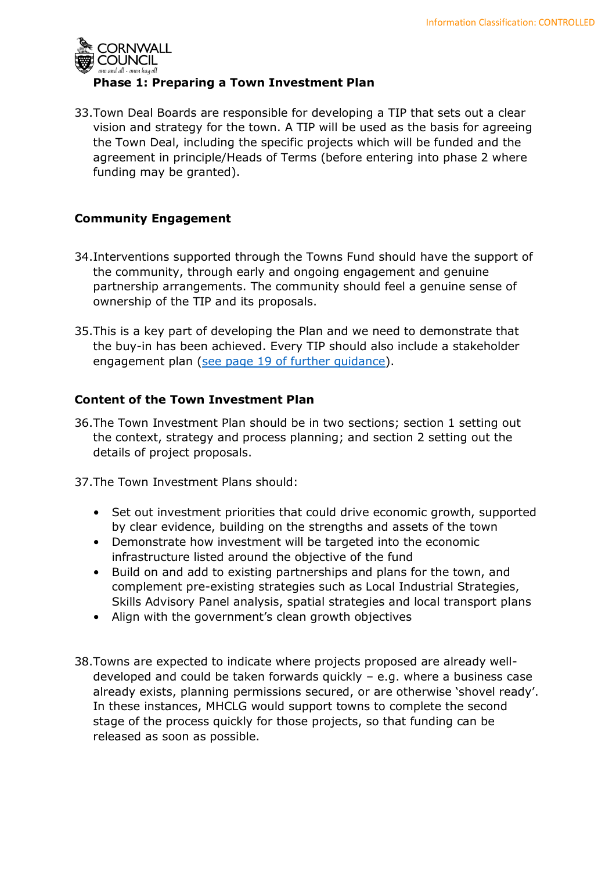

33.Town Deal Boards are responsible for developing a TIP that sets out a clear vision and strategy for the town. A TIP will be used as the basis for agreeing the Town Deal, including the specific projects which will be funded and the agreement in principle/Heads of Terms (before entering into phase 2 where funding may be granted).

## **Community Engagement**

- 34.Interventions supported through the Towns Fund should have the support of the community, through early and ongoing engagement and genuine partnership arrangements. The community should feel a genuine sense of ownership of the TIP and its proposals.
- 35.This is a key part of developing the Plan and we need to demonstrate that the buy-in has been achieved. Every TIP should also include a stakeholder engagement plan (see page 19 [of further guidance\)](https://assets.publishing.service.gov.uk/government/uploads/system/uploads/attachment_data/file/892781/Towns_Fund_further_guidance_16_June_FINAL.pdf).

## **Content of the Town Investment Plan**

36.The Town Investment Plan should be in two sections; section 1 setting out the context, strategy and process planning; and section 2 setting out the details of project proposals.

37.The Town Investment Plans should:

- Set out investment priorities that could drive economic growth, supported by clear evidence, building on the strengths and assets of the town
- Demonstrate how investment will be targeted into the economic infrastructure listed around the objective of the fund
- Build on and add to existing partnerships and plans for the town, and complement pre-existing strategies such as Local Industrial Strategies, Skills Advisory Panel analysis, spatial strategies and local transport plans
- Align with the government's clean growth objectives
- 38.Towns are expected to indicate where projects proposed are already welldeveloped and could be taken forwards quickly – e.g. where a business case already exists, planning permissions secured, or are otherwise 'shovel ready'. In these instances, MHCLG would support towns to complete the second stage of the process quickly for those projects, so that funding can be released as soon as possible.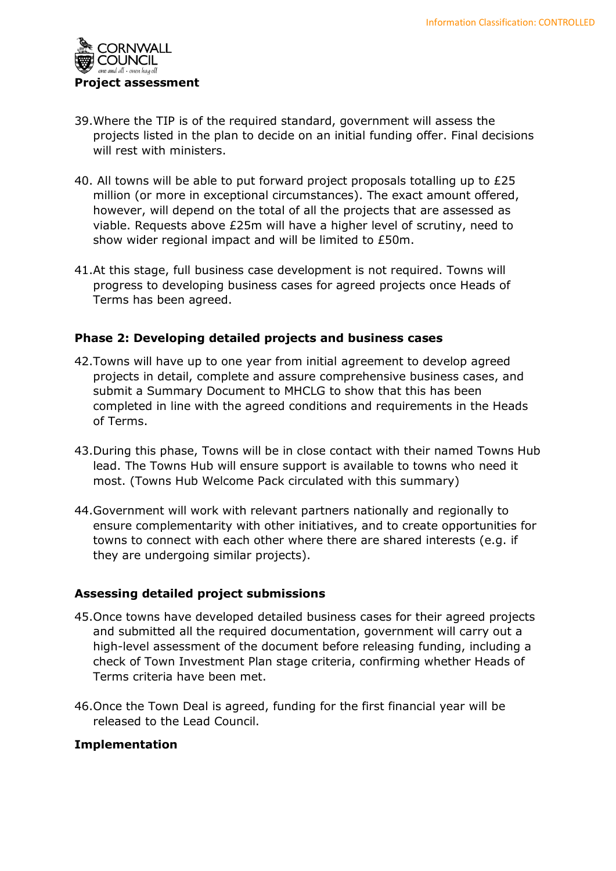

- 39.Where the TIP is of the required standard, government will assess the projects listed in the plan to decide on an initial funding offer. Final decisions will rest with ministers.
- 40. All towns will be able to put forward project proposals totalling up to £25 million (or more in exceptional circumstances). The exact amount offered, however, will depend on the total of all the projects that are assessed as viable. Requests above £25m will have a higher level of scrutiny, need to show wider regional impact and will be limited to £50m.
- 41.At this stage, full business case development is not required. Towns will progress to developing business cases for agreed projects once Heads of Terms has been agreed.

## **Phase 2: Developing detailed projects and business cases**

- 42.Towns will have up to one year from initial agreement to develop agreed projects in detail, complete and assure comprehensive business cases, and submit a Summary Document to MHCLG to show that this has been completed in line with the agreed conditions and requirements in the Heads of Terms.
- 43.During this phase, Towns will be in close contact with their named Towns Hub lead. The Towns Hub will ensure support is available to towns who need it most. (Towns Hub Welcome Pack circulated with this summary)
- 44.Government will work with relevant partners nationally and regionally to ensure complementarity with other initiatives, and to create opportunities for towns to connect with each other where there are shared interests (e.g. if they are undergoing similar projects).

## **Assessing detailed project submissions**

- 45.Once towns have developed detailed business cases for their agreed projects and submitted all the required documentation, government will carry out a high-level assessment of the document before releasing funding, including a check of Town Investment Plan stage criteria, confirming whether Heads of Terms criteria have been met.
- 46.Once the Town Deal is agreed, funding for the first financial year will be released to the Lead Council.

## **Implementation**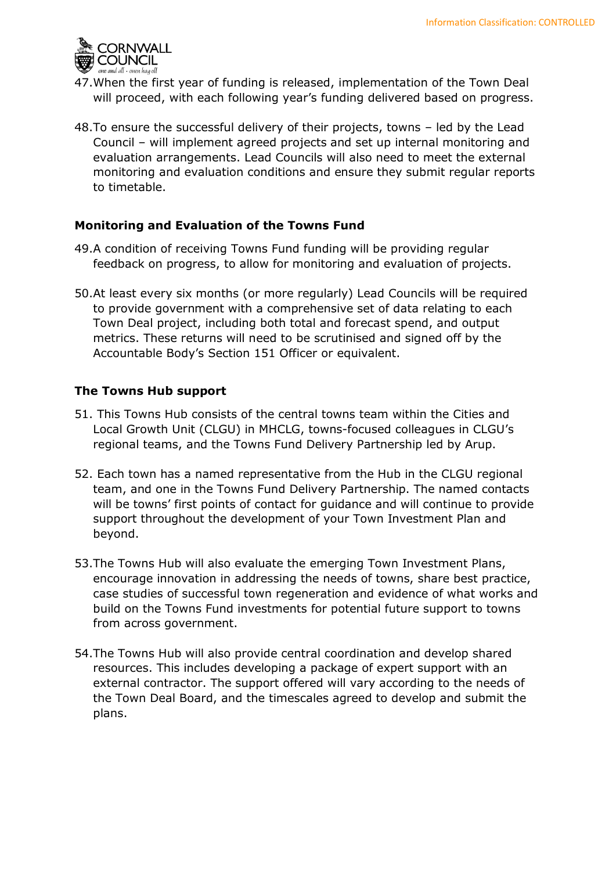

- 47.When the first year of funding is released, implementation of the Town Deal will proceed, with each following year's funding delivered based on progress.
- 48.To ensure the successful delivery of their projects, towns led by the Lead Council – will implement agreed projects and set up internal monitoring and evaluation arrangements. Lead Councils will also need to meet the external monitoring and evaluation conditions and ensure they submit regular reports to timetable.

## **Monitoring and Evaluation of the Towns Fund**

- 49.A condition of receiving Towns Fund funding will be providing regular feedback on progress, to allow for monitoring and evaluation of projects.
- 50.At least every six months (or more regularly) Lead Councils will be required to provide government with a comprehensive set of data relating to each Town Deal project, including both total and forecast spend, and output metrics. These returns will need to be scrutinised and signed off by the Accountable Body's Section 151 Officer or equivalent.

### **The Towns Hub support**

- 51. This Towns Hub consists of the central towns team within the Cities and Local Growth Unit (CLGU) in MHCLG, towns-focused colleagues in CLGU's regional teams, and the Towns Fund Delivery Partnership led by Arup.
- 52. Each town has a named representative from the Hub in the CLGU regional team, and one in the Towns Fund Delivery Partnership. The named contacts will be towns' first points of contact for guidance and will continue to provide support throughout the development of your Town Investment Plan and beyond.
- 53.The Towns Hub will also evaluate the emerging Town Investment Plans, encourage innovation in addressing the needs of towns, share best practice, case studies of successful town regeneration and evidence of what works and build on the Towns Fund investments for potential future support to towns from across government.
- 54.The Towns Hub will also provide central coordination and develop shared resources. This includes developing a package of expert support with an external contractor. The support offered will vary according to the needs of the Town Deal Board, and the timescales agreed to develop and submit the plans.